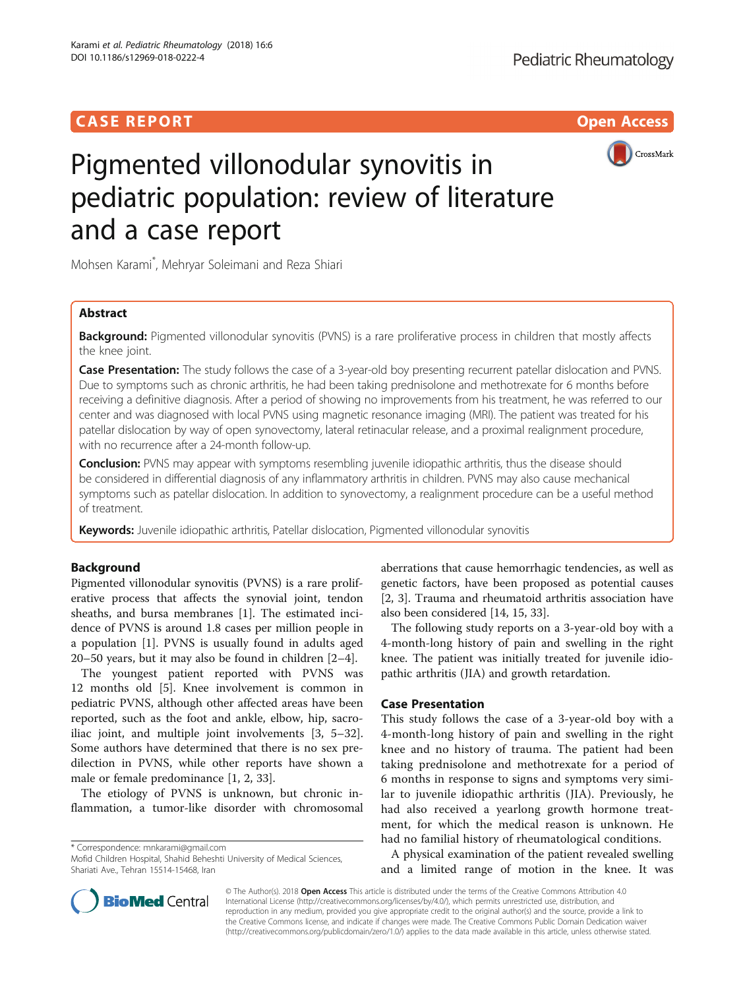## **CASE REPORT CASE REPORT** And the contract of the contract of the contract of the contract of the contract of the contract of the contract of the contract of the contract of the contract of the contract of the contract of



# Pigmented villonodular synovitis in pediatric population: review of literature and a case report

Mohsen Karami\* , Mehryar Soleimani and Reza Shiari

## Abstract

**Background:** Pigmented villonodular synovitis (PVNS) is a rare proliferative process in children that mostly affects the knee joint.

Case Presentation: The study follows the case of a 3-year-old boy presenting recurrent patellar dislocation and PVNS. Due to symptoms such as chronic arthritis, he had been taking prednisolone and methotrexate for 6 months before receiving a definitive diagnosis. After a period of showing no improvements from his treatment, he was referred to our center and was diagnosed with local PVNS using magnetic resonance imaging (MRI). The patient was treated for his patellar dislocation by way of open synovectomy, lateral retinacular release, and a proximal realignment procedure, with no recurrence after a 24-month follow-up.

**Conclusion:** PVNS may appear with symptoms resembling juvenile idiopathic arthritis, thus the disease should be considered in differential diagnosis of any inflammatory arthritis in children. PVNS may also cause mechanical symptoms such as patellar dislocation. In addition to synovectomy, a realignment procedure can be a useful method of treatment.

Keywords: Juvenile idiopathic arthritis, Patellar dislocation, Pigmented villonodular synovitis

## Background

Pigmented villonodular synovitis (PVNS) is a rare proliferative process that affects the synovial joint, tendon sheaths, and bursa membranes [[1\]](#page-3-0). The estimated incidence of PVNS is around 1.8 cases per million people in a population [[1](#page-3-0)]. PVNS is usually found in adults aged 20–50 years, but it may also be found in children [[2](#page-3-0)–[4\]](#page-3-0).

The youngest patient reported with PVNS was 12 months old [\[5](#page-3-0)]. Knee involvement is common in pediatric PVNS, although other affected areas have been reported, such as the foot and ankle, elbow, hip, sacroiliac joint, and multiple joint involvements [[3, 5](#page-3-0)–[32](#page-4-0)]. Some authors have determined that there is no sex predilection in PVNS, while other reports have shown a male or female predominance [\[1, 2](#page-3-0), [33\]](#page-4-0).

The etiology of PVNS is unknown, but chronic inflammation, a tumor-like disorder with chromosomal

\* Correspondence: [mnkarami@gmail.com](mailto:mnkarami@gmail.com)

aberrations that cause hemorrhagic tendencies, as well as genetic factors, have been proposed as potential causes [[2, 3](#page-3-0)]. Trauma and rheumatoid arthritis association have also been considered [[14, 15](#page-3-0), [33\]](#page-4-0).

The following study reports on a 3-year-old boy with a 4-month-long history of pain and swelling in the right knee. The patient was initially treated for juvenile idiopathic arthritis (JIA) and growth retardation.

## Case Presentation

This study follows the case of a 3-year-old boy with a 4-month-long history of pain and swelling in the right knee and no history of trauma. The patient had been taking prednisolone and methotrexate for a period of 6 months in response to signs and symptoms very similar to juvenile idiopathic arthritis (JIA). Previously, he had also received a yearlong growth hormone treatment, for which the medical reason is unknown. He had no familial history of rheumatological conditions.

A physical examination of the patient revealed swelling and a limited range of motion in the knee. It was



© The Author(s). 2018 Open Access This article is distributed under the terms of the Creative Commons Attribution 4.0 International License [\(http://creativecommons.org/licenses/by/4.0/](http://creativecommons.org/licenses/by/4.0/)), which permits unrestricted use, distribution, and reproduction in any medium, provided you give appropriate credit to the original author(s) and the source, provide a link to the Creative Commons license, and indicate if changes were made. The Creative Commons Public Domain Dedication waiver [\(http://creativecommons.org/publicdomain/zero/1.0/](http://creativecommons.org/publicdomain/zero/1.0/)) applies to the data made available in this article, unless otherwise stated.

Mofid Children Hospital, Shahid Beheshti University of Medical Sciences, Shariati Ave., Tehran 15514-15468, Iran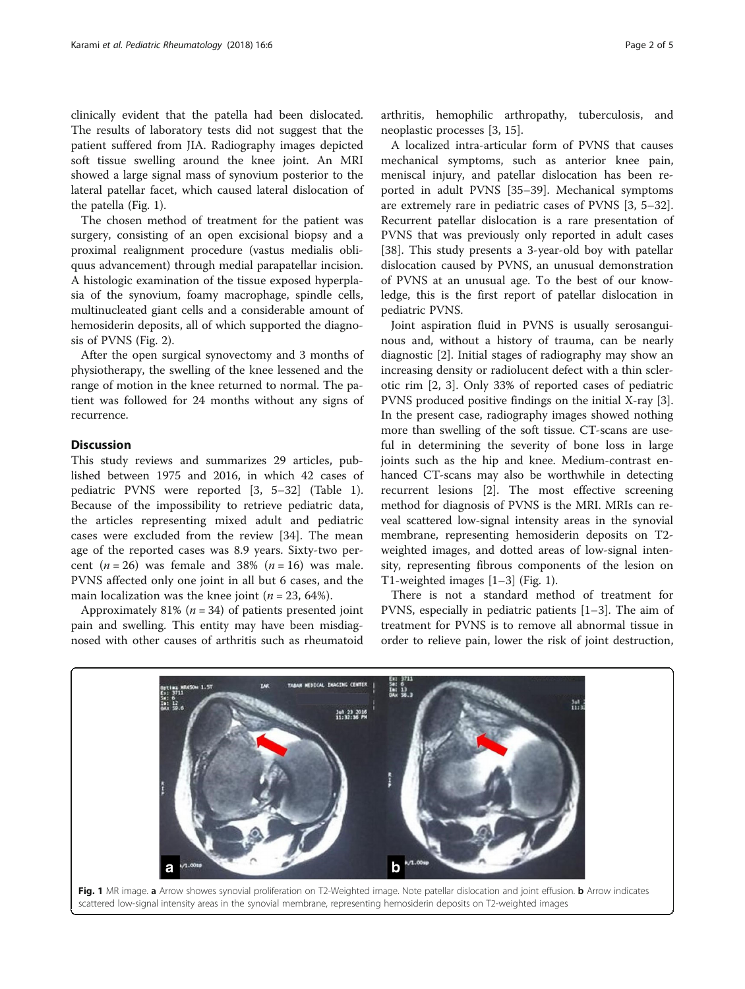clinically evident that the patella had been dislocated. The results of laboratory tests did not suggest that the patient suffered from JIA. Radiography images depicted soft tissue swelling around the knee joint. An MRI showed a large signal mass of synovium posterior to the lateral patellar facet, which caused lateral dislocation of the patella (Fig. 1).

The chosen method of treatment for the patient was surgery, consisting of an open excisional biopsy and a proximal realignment procedure (vastus medialis obliquus advancement) through medial parapatellar incision. A histologic examination of the tissue exposed hyperplasia of the synovium, foamy macrophage, spindle cells, multinucleated giant cells and a considerable amount of hemosiderin deposits, all of which supported the diagnosis of PVNS (Fig. [2](#page-2-0)).

After the open surgical synovectomy and 3 months of physiotherapy, the swelling of the knee lessened and the range of motion in the knee returned to normal. The patient was followed for 24 months without any signs of recurrence.

## **Discussion**

This study reviews and summarizes 29 articles, published between 1975 and 2016, in which 42 cases of pediatric PVNS were reported [[3, 5](#page-3-0)–[32\]](#page-4-0) (Table [1](#page-2-0)). Because of the impossibility to retrieve pediatric data, the articles representing mixed adult and pediatric cases were excluded from the review [[34\]](#page-4-0). The mean age of the reported cases was 8.9 years. Sixty-two percent  $(n = 26)$  was female and 38%  $(n = 16)$  was male. PVNS affected only one joint in all but 6 cases, and the main localization was the knee joint ( $n = 23, 64\%$ ).

Approximately 81% ( $n = 34$ ) of patients presented joint pain and swelling. This entity may have been misdiagnosed with other causes of arthritis such as rheumatoid arthritis, hemophilic arthropathy, tuberculosis, and neoplastic processes [\[3](#page-3-0), [15](#page-3-0)].

A localized intra-articular form of PVNS that causes mechanical symptoms, such as anterior knee pain, meniscal injury, and patellar dislocation has been reported in adult PVNS [[35](#page-4-0)–[39](#page-4-0)]. Mechanical symptoms are extremely rare in pediatric cases of PVNS [\[3, 5](#page-3-0)–[32](#page-4-0)]. Recurrent patellar dislocation is a rare presentation of PVNS that was previously only reported in adult cases [[38\]](#page-4-0). This study presents a 3-year-old boy with patellar dislocation caused by PVNS, an unusual demonstration of PVNS at an unusual age. To the best of our knowledge, this is the first report of patellar dislocation in pediatric PVNS.

Joint aspiration fluid in PVNS is usually serosanguinous and, without a history of trauma, can be nearly diagnostic [[2](#page-3-0)]. Initial stages of radiography may show an increasing density or radiolucent defect with a thin sclerotic rim [\[2](#page-3-0), [3](#page-3-0)]. Only 33% of reported cases of pediatric PVNS produced positive findings on the initial X-ray [\[3](#page-3-0)]. In the present case, radiography images showed nothing more than swelling of the soft tissue. CT-scans are useful in determining the severity of bone loss in large joints such as the hip and knee. Medium-contrast enhanced CT-scans may also be worthwhile in detecting recurrent lesions [[2\]](#page-3-0). The most effective screening method for diagnosis of PVNS is the MRI. MRIs can reveal scattered low-signal intensity areas in the synovial membrane, representing hemosiderin deposits on T2 weighted images, and dotted areas of low-signal intensity, representing fibrous components of the lesion on T1-weighted images [\[1](#page-3-0)–[3](#page-3-0)] (Fig. 1).

There is not a standard method of treatment for PVNS, especially in pediatric patients [\[1](#page-3-0)–[3](#page-3-0)]. The aim of treatment for PVNS is to remove all abnormal tissue in order to relieve pain, lower the risk of joint destruction,

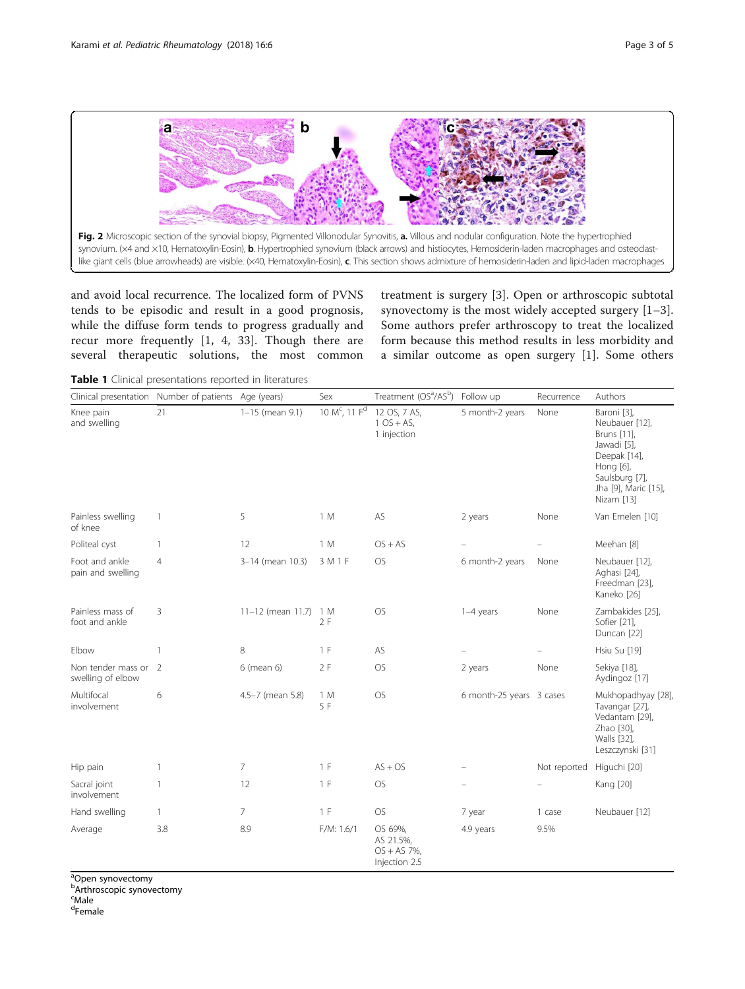<span id="page-2-0"></span>

and avoid local recurrence. The localized form of PVNS tends to be episodic and result in a good prognosis, while the diffuse form tends to progress gradually and recur more frequently [[1, 4](#page-3-0), [33](#page-4-0)]. Though there are several therapeutic solutions, the most common treatment is surgery [[3\]](#page-3-0). Open or arthroscopic subtotal synovectomy is the most widely accepted surgery [[1](#page-3-0)–[3](#page-3-0)]. Some authors prefer arthroscopy to treat the localized form because this method results in less morbidity and a similar outcome as open surgery [[1](#page-3-0)]. Some others

Table 1 Clinical presentations reported in literatures

|                                           | Clinical presentation Number of patients Age (years) |                   | Sex                                   | Treatment (OS <sup>a</sup> /AS <sup>b</sup> )           | Follow up                | Recurrence   | Authors                                                                                                                                          |
|-------------------------------------------|------------------------------------------------------|-------------------|---------------------------------------|---------------------------------------------------------|--------------------------|--------------|--------------------------------------------------------------------------------------------------------------------------------------------------|
| Knee pain<br>and swelling                 | 21                                                   | $1-15$ (mean 9.1) | 10 M <sup>c</sup> , 11 F <sup>d</sup> | 12 OS, 7 AS,<br>$1OS + AS$ ,<br>1 injection             | 5 month-2 years          | None         | Baroni [3],<br>Neubauer [12],<br>Bruns [11],<br>Jawadi [5],<br>Deepak [14],<br>Hong [6],<br>Saulsburg [7],<br>Jha [9], Maric [15],<br>Nizam [13] |
| Painless swelling<br>of knee              | $\mathbf{1}$                                         | 5                 | 1 M                                   | AS                                                      | 2 years                  | None         | Van Emelen [10]                                                                                                                                  |
| Politeal cyst                             | $\mathbf{1}$                                         | 12                | 1 M                                   | $OS + AS$                                               |                          |              | Meehan [8]                                                                                                                                       |
| Foot and ankle<br>pain and swelling       | $\overline{4}$                                       | 3-14 (mean 10.3)  | 3 M 1 F                               | <b>OS</b>                                               | 6 month-2 years          | None         | Neubauer [12],<br>Aghasi [24],<br>Freedman [23],<br>Kaneko [26]                                                                                  |
| Painless mass of<br>foot and ankle        | 3                                                    | 11-12 (mean 11.7) | 1 M<br>2F                             | <b>OS</b>                                               | $1-4$ years              | None         | Zambakides [25],<br>Sofier [21],<br>Duncan [22]                                                                                                  |
| Elbow                                     | $\mathbf{1}$                                         | 8                 | 1 F                                   | AS                                                      |                          |              | Hsiu Su [19]                                                                                                                                     |
| Non tender mass or 2<br>swelling of elbow |                                                      | 6 (mean 6)        | 2F                                    | <b>OS</b>                                               | 2 years                  | None         | Sekiya [18],<br>Aydingoz [17]                                                                                                                    |
| Multifocal<br>involvement                 | 6                                                    | 4.5-7 (mean 5.8)  | 1 M<br>5 F                            | OS                                                      | 6 month-25 years 3 cases |              | Mukhopadhyay [28],<br>Tavangar [27],<br>Vedantam [29],<br>Zhao [30],<br>Walls [32],<br>Leszczynski [31]                                          |
| Hip pain                                  | $\mathbf{1}$                                         | 7                 | 1 F                                   | $AS + OS$                                               |                          | Not reported | Higuchi [20]                                                                                                                                     |
| Sacral joint<br>involvement               | 1                                                    | 12                | 1 F                                   | <b>OS</b>                                               |                          |              | Kang [20]                                                                                                                                        |
| Hand swelling                             | $\mathbf{1}$                                         | 7                 | 1 F                                   | <b>OS</b>                                               | 7 year                   | 1 case       | Neubauer [12]                                                                                                                                    |
| Average                                   | 3.8                                                  | 8.9               | F/M: 1.6/1                            | OS 69%,<br>AS 21.5%,<br>$OS + AS 7\%,$<br>Injection 2.5 | 4.9 years                | 9.5%         |                                                                                                                                                  |

<sup>a</sup>Open synovectomy

**Arthroscopic synovectomy** 

<sup>c</sup>Male

<sup>d</sup>Female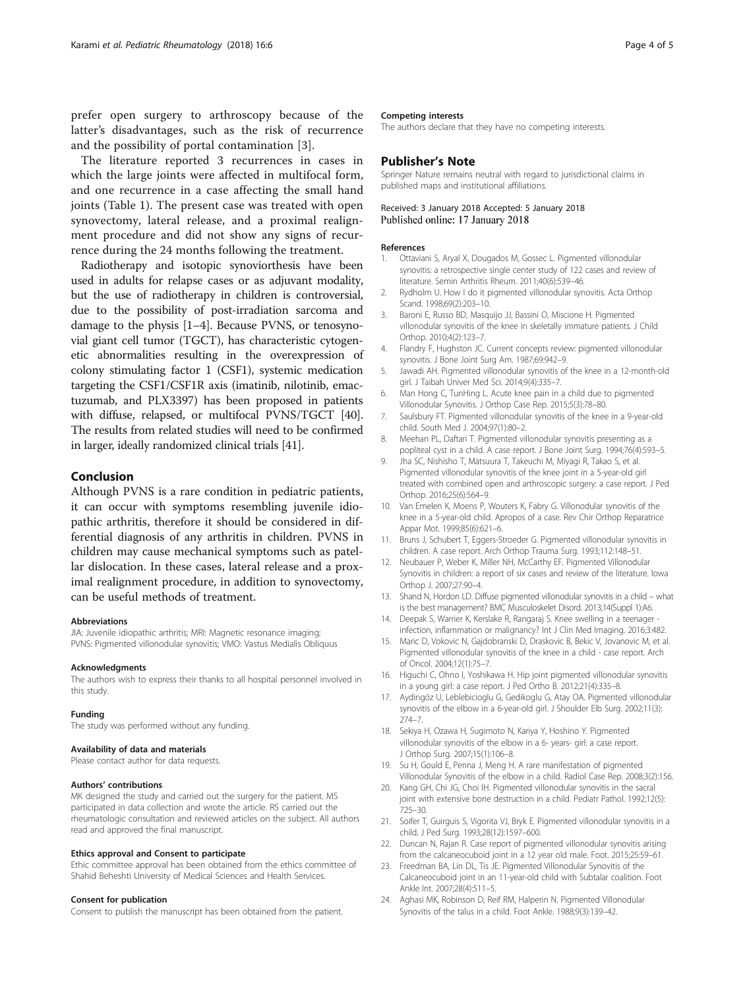<span id="page-3-0"></span>prefer open surgery to arthroscopy because of the latter's disadvantages, such as the risk of recurrence and the possibility of portal contamination [3].

The literature reported 3 recurrences in cases in which the large joints were affected in multifocal form, and one recurrence in a case affecting the small hand joints (Table [1\)](#page-2-0). The present case was treated with open synovectomy, lateral release, and a proximal realignment procedure and did not show any signs of recurrence during the 24 months following the treatment.

Radiotherapy and isotopic synoviorthesis have been used in adults for relapse cases or as adjuvant modality, but the use of radiotherapy in children is controversial, due to the possibility of post-irradiation sarcoma and damage to the physis [1–4]. Because PVNS, or tenosynovial giant cell tumor (TGCT), has characteristic cytogenetic abnormalities resulting in the overexpression of colony stimulating factor 1 (CSF1), systemic medication targeting the CSF1/CSF1R axis (imatinib, nilotinib, emactuzumab, and PLX3397) has been proposed in patients with diffuse, relapsed, or multifocal PVNS/TGCT [[40](#page-4-0)]. The results from related studies will need to be confirmed in larger, ideally randomized clinical trials [\[41](#page-4-0)].

### Conclusion

Although PVNS is a rare condition in pediatric patients, it can occur with symptoms resembling juvenile idiopathic arthritis, therefore it should be considered in differential diagnosis of any arthritis in children. PVNS in children may cause mechanical symptoms such as patellar dislocation. In these cases, lateral release and a proximal realignment procedure, in addition to synovectomy, can be useful methods of treatment.

#### Abbreviations

JIA: Juvenile idiopathic arthritis; MRI: Magnetic resonance imaging; PVNS: Pigmented villonodular synovitis; VMO: Vastus Medialis Obliquus

#### Acknowledgments

The authors wish to express their thanks to all hospital personnel involved in this study.

#### Funding

The study was performed without any funding.

#### Availability of data and materials

Please contact author for data requests.

#### Authors' contributions

MK designed the study and carried out the surgery for the patient. MS participated in data collection and wrote the article. RS carried out the rheumatologic consultation and reviewed articles on the subject. All authors read and approved the final manuscript.

#### Ethics approval and Consent to participate

Ethic committee approval has been obtained from the ethics committee of Shahid Beheshti University of Medical Sciences and Health Services.

#### Consent for publication

Consent to publish the manuscript has been obtained from the patient.

#### Competing interests

The authors declare that they have no competing interests.

## Publisher's Note

Springer Nature remains neutral with regard to jurisdictional claims in published maps and institutional affiliations.

#### Received: 3 January 2018 Accepted: 5 January 2018 Published online: 17 January 2018

#### References

- 1. Ottaviani S, Aryal X, Dougados M, Gossec L. Pigmented villonodular synovitis: a retrospective single center study of 122 cases and review of literature. Semin Arthritis Rheum. 2011;40(6):539–46.
- 2. Rydholm U. How I do it pigmented villonodular synovitis. Acta Orthop Scand. 1998;69(2):203–10.
- 3. Baroni E, Russo BD, Masquijo JJ, Bassini O, Miscione H. Pigmented villonodular synovitis of the knee in skeletally immature patients. J Child Orthop. 2010;4(2):123–7.
- 4. Flandry F, Hughston JC. Current concepts review: pigmented villonodular synovitis. J Bone Joint Surg Am. 1987;69:942–9.
- 5. Jawadi AH. Pigmented villonodular synovitis of the knee in a 12-month-old girl. J Taibah Univer Med Sci. 2014;9(4):335–7.
- 6. Man Hong C, TunHing L. Acute knee pain in a child due to pigmented Villonodular Synovitis. J Orthop Case Rep. 2015;5(3):78–80.
- 7. Saulsbury FT. Pigmented villonodular synovitis of the knee in a 9-year-old child. South Med J. 2004;97(1):80–2.
- 8. Meehan PL, Daftari T. Pigmented villonodular synovitis presenting as a popliteal cyst in a child. A case report. J Bone Joint Surg. 1994;76(4):593–5.
- 9. Jha SC, Nishisho T, Matsuura T, Takeuchi M, Miyagi R, Takao S, et al. Pigmented villonodular synovitis of the knee joint in a 5-year-old girl treated with combined open and arthroscopic surgery: a case report. J Ped Orthop. 2016;25(6):564–9.
- 10. Van Emelen K, Moens P, Wouters K, Fabry G. Villonodular synovitis of the knee in a 5-year-old child. Apropos of a case. Rev Chir Orthop Reparatrice Appar Mot. 1999;85(6):621–6.
- 11. Bruns J, Schubert T, Eggers-Stroeder G. Pigmented villonodular synovitis in children. A case report. Arch Orthop Trauma Surg. 1993;112:148–51.
- 12. Neubauer P, Weber K, Miller NH, McCarthy EF. Pigmented Villonodular Synovitis in children: a report of six cases and review of the literature. Iowa Orthop J. 2007;27:90–4.
- 13. Shand N, Hordon LD. Diffuse pigmented villonodular synovitis in a child what is the best management? BMC Musculoskelet Disord. 2013;14(Suppl 1):A6.
- 14. Deepak S, Warrier K, Kerslake R, Rangaraj S. Knee swelling in a teenager infection, inflammation or malignancy? Int J Clin Med Imaging. 2016;3:482.
- 15. Maric D, Vokovic N, Gajdobranski D, Draskovic B, Bekic V, Jovanovic M, et al. Pigmented villonodular synovitis of the knee in a child - case report. Arch of Oncol. 2004;12(1):75–7.
- 16. Higuchi C, Ohno I, Yoshikawa H. Hip joint pigmented villonodular synovitis in a young girl: a case report. J Ped Ortho B. 2012;21(4):335–8.
- 17. Aydingöz U, Leblebicioglu G, Gedikoglu G, Atay OA. Pigmented villonodular synovitis of the elbow in a 6-year-old girl. J Shoulder Elb Surg. 2002;11(3): 274–7.
- 18. Sekiya H, Ozawa H, Sugimoto N, Kariya Y, Hoshino Y. Pigmented villonodular synovitis of the elbow in a 6- years- girl: a case report. J Orthop Surg. 2007;15(1):106–8.
- 19. Su H, Gould E, Penna J, Meng H. A rare manifestation of pigmented Villonodular Synovitis of the elbow in a child. Radiol Case Rep. 2008;3(2):156.
- 20. Kang GH, Chi JG, Choi IH. Pigmented villonodular synovitis in the sacral joint with extensive bone destruction in a child. Pediatr Pathol. 1992;12(5): 725–30.
- 21. Soifer T, Guirguis S, Vigorita VJ, Bryk E. Pigmented villonodular synovitis in a child. J Ped Surg. 1993;28(12):1597–600.
- 22. Duncan N, Rajan R. Case report of pigmented villonodular synovitis arising from the calcaneocuboid joint in a 12 year old male. Foot. 2015;25:59–61.
- 23. Freedman BA, Lin DL, Tis JE. Pigmented Villonodular Synovitis of the Calcaneocuboid joint in an 11-year-old child with Subtalar coalition. Foot Ankle Int. 2007;28(4):511–5.
- 24. Aghasi MK, Robinson D, Reif RM, Halperin N. Pigmented Villonodular Synovitis of the talus in a child. Foot Ankle. 1988;9(3):139–42.